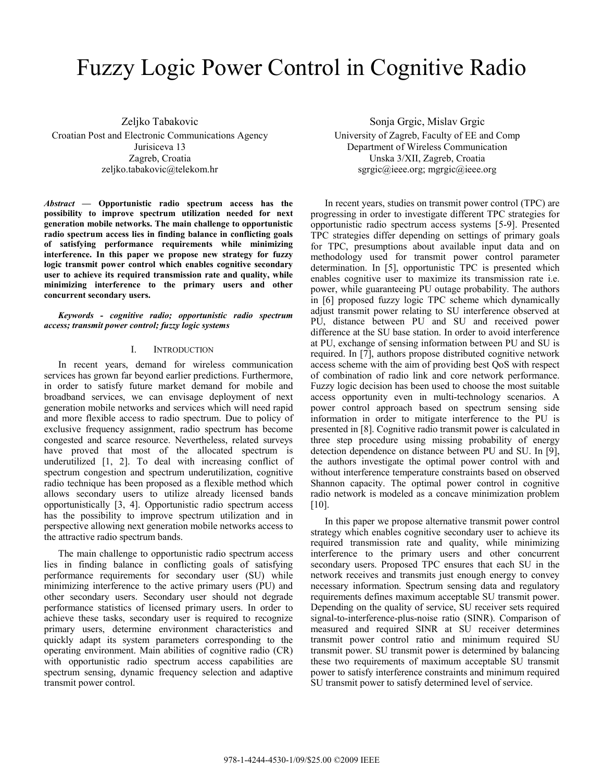# Fuzzy Logic Power Control in Cognitive Radio

Zeljko Tabakovic

Croatian Post and Electronic Communications Agency Jurisiceva 13 Zagreb, Croatia zeljko.tabakovic@telekom.hr

*Abstract* **— Opportunistic radio spectrum access has the possibility to improve spectrum utilization needed for next generation mobile networks. The main challenge to opportunistic radio spectrum access lies in finding balance in conflicting goals of satisfying performance requirements while minimizing interference. In this paper we propose new strategy for fuzzy logic transmit power control which enables cognitive secondary user to achieve its required transmission rate and quality, while minimizing interference to the primary users and other concurrent secondary users.** 

*Keywords - cognitive radio; opportunistic radio spectrum access; transmit power control; fuzzy logic systems* 

## I. INTRODUCTION

In recent years, demand for wireless communication services has grown far beyond earlier predictions. Furthermore, in order to satisfy future market demand for mobile and broadband services, we can envisage deployment of next generation mobile networks and services which will need rapid and more flexible access to radio spectrum. Due to policy of exclusive frequency assignment, radio spectrum has become congested and scarce resource. Nevertheless, related surveys have proved that most of the allocated spectrum is underutilized [1, 2]. To deal with increasing conflict of spectrum congestion and spectrum underutilization, cognitive radio technique has been proposed as a flexible method which allows secondary users to utilize already licensed bands opportunistically [3, 4]. Opportunistic radio spectrum access has the possibility to improve spectrum utilization and in perspective allowing next generation mobile networks access to the attractive radio spectrum bands.

The main challenge to opportunistic radio spectrum access lies in finding balance in conflicting goals of satisfying performance requirements for secondary user (SU) while minimizing interference to the active primary users (PU) and other secondary users. Secondary user should not degrade performance statistics of licensed primary users. In order to achieve these tasks, secondary user is required to recognize primary users, determine environment characteristics and quickly adapt its system parameters corresponding to the operating environment. Main abilities of cognitive radio (CR) with opportunistic radio spectrum access capabilities are spectrum sensing, dynamic frequency selection and adaptive transmit power control.

Sonja Grgic, Mislav Grgic University of Zagreb, Faculty of EE and Comp Department of Wireless Communication Unska 3/XII, Zagreb, Croatia sgrgic@ieee.org; mgrgic@ieee.org

In recent years, studies on transmit power control (TPC) are progressing in order to investigate different TPC strategies for opportunistic radio spectrum access systems [5-9]. Presented TPC strategies differ depending on settings of primary goals for TPC, presumptions about available input data and on methodology used for transmit power control parameter determination. In [5], opportunistic TPC is presented which enables cognitive user to maximize its transmission rate i.e. power, while guaranteeing PU outage probability. The authors in [6] proposed fuzzy logic TPC scheme which dynamically adjust transmit power relating to SU interference observed at PU, distance between PU and SU and received power difference at the SU base station. In order to avoid interference at PU, exchange of sensing information between PU and SU is required. In [7], authors propose distributed cognitive network access scheme with the aim of providing best QoS with respect of combination of radio link and core network performance. Fuzzy logic decision has been used to choose the most suitable access opportunity even in multi-technology scenarios. A power control approach based on spectrum sensing side information in order to mitigate interference to the PU is presented in [8]. Cognitive radio transmit power is calculated in three step procedure using missing probability of energy detection dependence on distance between PU and SU. In [9], the authors investigate the optimal power control with and without interference temperature constraints based on observed Shannon capacity. The optimal power control in cognitive radio network is modeled as a concave minimization problem [10].

In this paper we propose alternative transmit power control strategy which enables cognitive secondary user to achieve its required transmission rate and quality, while minimizing interference to the primary users and other concurrent secondary users. Proposed TPC ensures that each SU in the network receives and transmits just enough energy to convey necessary information. Spectrum sensing data and regulatory requirements defines maximum acceptable SU transmit power. Depending on the quality of service, SU receiver sets required signal-to-interference-plus-noise ratio (SINR). Comparison of measured and required SINR at SU receiver determines transmit power control ratio and minimum required SU transmit power. SU transmit power is determined by balancing these two requirements of maximum acceptable SU transmit power to satisfy interference constraints and minimum required SU transmit power to satisfy determined level of service.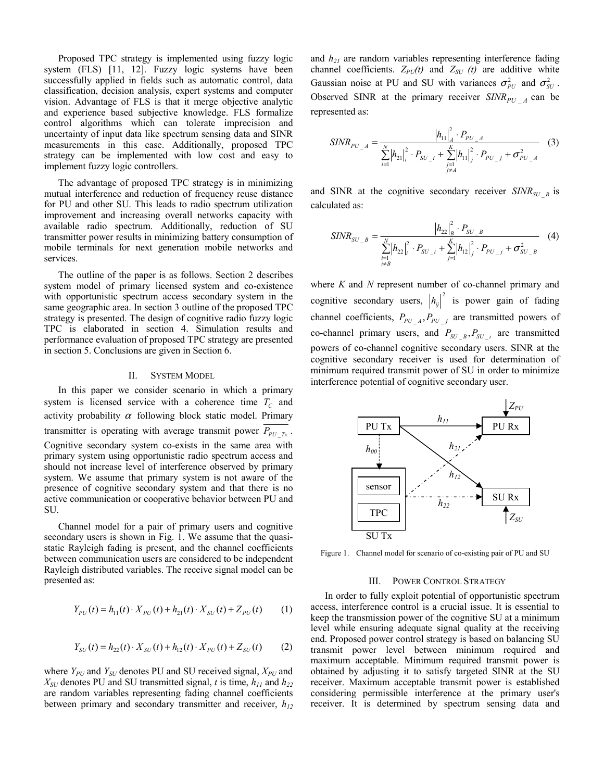Proposed TPC strategy is implemented using fuzzy logic system (FLS) [11, 12]. Fuzzy logic systems have been successfully applied in fields such as automatic control, data classification, decision analysis, expert systems and computer vision. Advantage of FLS is that it merge objective analytic and experience based subjective knowledge. FLS formalize control algorithms which can tolerate imprecision and uncertainty of input data like spectrum sensing data and SINR measurements in this case. Additionally, proposed TPC strategy can be implemented with low cost and easy to implement fuzzy logic controllers.

The advantage of proposed TPC strategy is in minimizing mutual interference and reduction of frequency reuse distance for PU and other SU. This leads to radio spectrum utilization improvement and increasing overall networks capacity with available radio spectrum. Additionally, reduction of SU transmitter power results in minimizing battery consumption of mobile terminals for next generation mobile networks and services.

The outline of the paper is as follows. Section 2 describes system model of primary licensed system and co-existence with opportunistic spectrum access secondary system in the same geographic area. In section 3 outline of the proposed TPC strategy is presented. The design of cognitive radio fuzzy logic TPC is elaborated in section 4. Simulation results and performance evaluation of proposed TPC strategy are presented in section 5. Conclusions are given in Section 6.

### II. SYSTEM MODEL

In this paper we consider scenario in which a primary system is licensed service with a coherence time  $T_c$  and activity probability  $\alpha$  following block static model. Primary transmitter is operating with average transmit power  $P_{PU}$   $_{Tx}$ . Cognitive secondary system co-exists in the same area with primary system using opportunistic radio spectrum access and should not increase level of interference observed by primary system. We assume that primary system is not aware of the presence of cognitive secondary system and that there is no active communication or cooperative behavior between PU and SU.

Channel model for a pair of primary users and cognitive secondary users is shown in Fig. 1. We assume that the quasistatic Rayleigh fading is present, and the channel coefficients between communication users are considered to be independent Rayleigh distributed variables. The receive signal model can be presented as:

$$
Y_{PU}(t) = h_{11}(t) \cdot X_{PU}(t) + h_{21}(t) \cdot X_{SU}(t) + Z_{PU}(t) \tag{1}
$$

$$
Y_{SU}(t) = h_{22}(t) \cdot X_{SU}(t) + h_{12}(t) \cdot X_{PU}(t) + Z_{SU}(t) \tag{2}
$$

where *Y<sub>PU</sub>* and *Y<sub>SU</sub>* denotes PU and SU received signal, *X<sub>PU</sub>* and  $X_{\text{SU}}$  denotes PU and SU transmitted signal, *t* is time,  $h_{11}$  and  $h_{22}$ are random variables representing fading channel coefficients between primary and secondary transmitter and receiver,  $h_{12}$  and  $h_{21}$  are random variables representing interference fading channel coefficients.  $Z_{PU}(t)$  and  $Z_{SU}(t)$  are additive white Gaussian noise at PU and SU with variances  $\sigma_{PU}^2$  and  $\sigma_{SU}^2$ . Observed SINR at the primary receiver  $SINR_{PU}$  *A* can be represented as:

$$
SINR_{PU_{-}A} = \frac{|h_{1}|_{A}^{2} \cdot P_{PU_{-}A}}{\sum_{i=1}^{N} |h_{21}|_{i}^{2} \cdot P_{SU_{-}i} + \sum_{\substack{j=1 \ j \neq A}}^{K} |h_{11}|_{j}^{2} \cdot P_{PU_{-}j} + \sigma_{PU_{-}A}^{2}}
$$
(3)

and SINR at the cognitive secondary receiver  $SINR_{SU}$  *B* is calculated as:

$$
SINR_{SU_{-}B} = \frac{|h_{22}|_{B}^{2} \cdot P_{SU_{-}B}}{\sum_{\substack{i=1 \ i \neq B}}^{N} |h_{22}|_{i}^{2} \cdot P_{SU_{-}i} + \sum_{j=1}^{K} |h_{12}|_{j}^{2} \cdot P_{PU_{-}j} + \sigma_{SU_{-}B}^{2}}
$$
(4)

where *K* and *N* represent number of co-channel primary and cognitive secondary users,  $|h_{ij}|^2$  is power gain of fading channel coefficients,  $P_{PU\_A}$ ,  $P_{PU\_j}$  are transmitted powers of co-channel primary users, and  $P_{SU_B}, P_{SU_i}$  are transmitted powers of co-channel cognitive secondary users. SINR at the cognitive secondary receiver is used for determination of minimum required transmit power of SU in order to minimize interference potential of cognitive secondary user.



Figure 1. Channel model for scenario of co-existing pair of PU and SU

## III. POWER CONTROL STRATEGY

In order to fully exploit potential of opportunistic spectrum access, interference control is a crucial issue. It is essential to keep the transmission power of the cognitive SU at a minimum level while ensuring adequate signal quality at the receiving end. Proposed power control strategy is based on balancing SU transmit power level between minimum required and maximum acceptable. Minimum required transmit power is obtained by adjusting it to satisfy targeted SINR at the SU receiver. Maximum acceptable transmit power is established considering permissible interference at the primary user's receiver. It is determined by spectrum sensing data and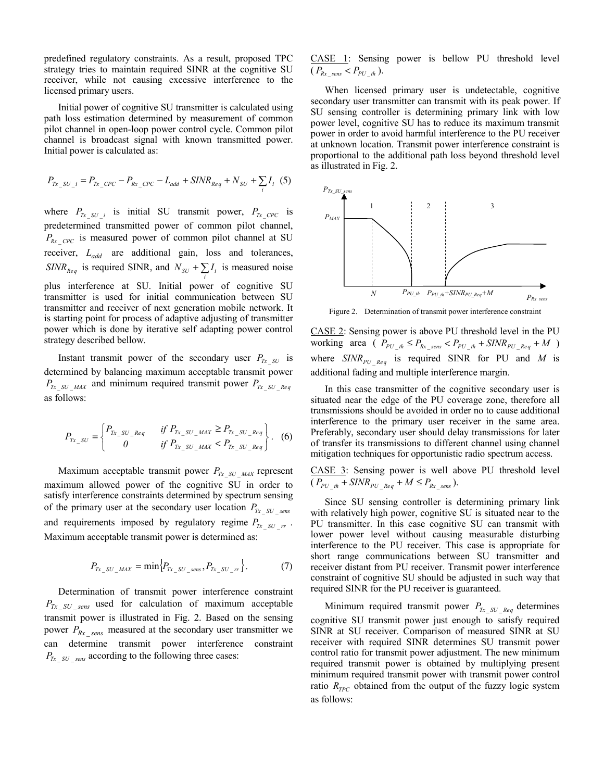predefined regulatory constraints. As a result, proposed TPC strategy tries to maintain required SINR at the cognitive SU receiver, while not causing excessive interference to the licensed primary users.

Initial power of cognitive SU transmitter is calculated using path loss estimation determined by measurement of common pilot channel in open-loop power control cycle. Common pilot channel is broadcast signal with known transmitted power. Initial power is calculated as:

$$
P_{Tx\_SU\_i} = P_{Tx\_CPC} - P_{Rx\_CPC} - L_{add} + SINR_{Reg} + N_{SU} + \sum_{i} I_i \tag{5}
$$

where  $P_{Tx\_SU_i}$  is initial SU transmit power,  $P_{Tx\_CPC}$  is predetermined transmitted power of common pilot channel,  $P_{Rx \text{ } CPC}$  is measured power of common pilot channel at SU receiver, *L<sub>add</sub>* are additional gain, loss and tolerances, *SINR*<sub> $_{Req}$ </sub> is required SINR, and  $N_{SU} + \sum_{i} I_i$  is measured noise plus interference at SU. Initial power of cognitive SU transmitter is used for initial communication between SU transmitter and receiver of next generation mobile network. It is starting point for process of adaptive adjusting of transmitter power which is done by iterative self adapting power control strategy described bellow.

Instant transmit power of the secondary user  $P_{Tx, SI}$  is determined by balancing maximum acceptable transmit power  $P_{Tx}$  *su MAX* and minimum required transmit power  $P_{Tx}$  *SU Req* as follows:

$$
P_{Tx\_SU} = \begin{cases} P_{Tx\_SU\_Reg} & \text{if } P_{Tx\_SU\_MAX} \ge P_{Tx\_SU\_Reg} \\ 0 & \text{if } P_{Tx\_SU\_MAX} < P_{Tx\_SU\_Reg} \end{cases} . \tag{6}
$$

Maximum acceptable transmit power  $P_{Tx-yU \, MAX}$  represent maximum allowed power of the cognitive SU in order to satisfy interference constraints determined by spectrum sensing of the primary user at the secondary user location  $P_{Tx\_SU\_sens}$ and requirements imposed by regulatory regime  $P_{Tx-yU}$   $_{rr}$ . Maximum acceptable transmit power is determined as:

$$
P_{Tx\_SU\_MAX} = \min\{P_{Tx\_SU\_sens}, P_{Tx\_SU\_rr}\}.
$$
 (7)

Determination of transmit power interference constraint  $P_{Tx}$  *SU* sens used for calculation of maximum acceptable transmit power is illustrated in Fig. 2. Based on the sensing power  $P_{Rx}$   $_{sens}$  measured at the secondary user transmitter we can determine transmit power interference constraint  $P_{Tx}$   $_{SU}$   $_{sens}$  according to the following three cases:

CASE 1: Sensing power is bellow PU threshold level  $(P_{Rx \text{ sens}} < P_{PU \text{th}})$ .

When licensed primary user is undetectable, cognitive secondary user transmitter can transmit with its peak power. If SU sensing controller is determining primary link with low power level, cognitive SU has to reduce its maximum transmit power in order to avoid harmful interference to the PU receiver at unknown location. Transmit power interference constraint is proportional to the additional path loss beyond threshold level as illustrated in Fig. 2.



Figure 2. Determination of transmit power interference constraint

CASE 2: Sensing power is above PU threshold level in the PU working area ( $P_{PU_{\perp}th} \leq P_{Rx_{\perp}sens} < P_{PU_{\perp}th} + SINR_{PU_{\perp}Req} + M)$ where  $SINR_{PU}$  <sub> $Req$ </sub> is required SINR for PU and *M* is additional fading and multiple interference margin.

In this case transmitter of the cognitive secondary user is situated near the edge of the PU coverage zone, therefore all transmissions should be avoided in order no to cause additional interference to the primary user receiver in the same area. Preferably, secondary user should delay transmissions for later of transfer its transmissions to different channel using channel mitigation techniques for opportunistic radio spectrum access.

CASE 3: Sensing power is well above PU threshold level  $(P_{PU_{th}} + SINR_{PU_{Reg} + M \leq P_{Rx_{s}}})$ .

Since SU sensing controller is determining primary link with relatively high power, cognitive SU is situated near to the PU transmitter. In this case cognitive SU can transmit with lower power level without causing measurable disturbing interference to the PU receiver. This case is appropriate for short range communications between SU transmitter and receiver distant from PU receiver. Transmit power interference constraint of cognitive SU should be adjusted in such way that required SINR for the PU receiver is guaranteed.

Minimum required transmit power  $P_{Tx-yU}$   $_{Req}$  determines cognitive SU transmit power just enough to satisfy required SINR at SU receiver. Comparison of measured SINR at SU receiver with required SINR determines SU transmit power control ratio for transmit power adjustment. The new minimum required transmit power is obtained by multiplying present minimum required transmit power with transmit power control ratio  $R_{TPC}$  obtained from the output of the fuzzy logic system as follows: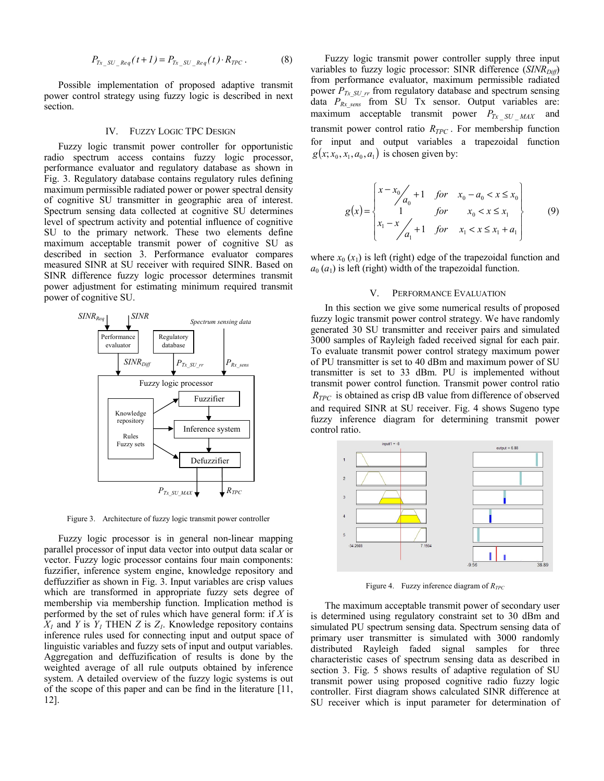$$
P_{Tx\_SU\_Reg}(t+1) = P_{Tx\_SU\_Reg}(t) \cdot R_{TPC}. \tag{8}
$$

Possible implementation of proposed adaptive transmit power control strategy using fuzzy logic is described in next section.

## IV. FUZZY LOGIC TPC DESIGN

Fuzzy logic transmit power controller for opportunistic radio spectrum access contains fuzzy logic processor, performance evaluator and regulatory database as shown in Fig. 3. Regulatory database contains regulatory rules defining maximum permissible radiated power or power spectral density of cognitive SU transmitter in geographic area of interest. Spectrum sensing data collected at cognitive SU determines level of spectrum activity and potential influence of cognitive SU to the primary network. These two elements define maximum acceptable transmit power of cognitive SU as described in section 3. Performance evaluator compares measured SINR at SU receiver with required SINR. Based on SINR difference fuzzy logic processor determines transmit power adjustment for estimating minimum required transmit power of cognitive SU.



Figure 3. Architecture of fuzzy logic transmit power controller

Fuzzy logic processor is in general non-linear mapping parallel processor of input data vector into output data scalar or vector. Fuzzy logic processor contains four main components: fuzzifier, inference system engine, knowledge repository and deffuzzifier as shown in Fig. 3. Input variables are crisp values which are transformed in appropriate fuzzy sets degree of membership via membership function. Implication method is performed by the set of rules which have general form: if *X* is  $X_I$  and *Y* is  $Y_I$  THEN *Z* is  $Z_I$ . Knowledge repository contains inference rules used for connecting input and output space of linguistic variables and fuzzy sets of input and output variables. Aggregation and deffuzification of results is done by the weighted average of all rule outputs obtained by inference system. A detailed overview of the fuzzy logic systems is out of the scope of this paper and can be find in the literature [11, 12].

Fuzzy logic transmit power controller supply three input variables to fuzzy logic processor: SINR difference (*SINR<sub>Diff</sub>*) from performance evaluator, maximum permissible radiated power  $P_{Tx\ SU\ rr}$  from regulatory database and spectrum sensing data *PRx\_sens* from SU Tx sensor. Output variables are:  $maximum$  acceptable transmit power  $P_{Tx\_SU\_MAX}$  and transmit power control ratio  $R_{TPC}$ . For membership function for input and output variables a trapezoidal function  $g(x; x_0, x_1, a_0, a_1)$  is chosen given by:

$$
g(x) = \begin{cases} x - x_0 / a_0 + 1 & \text{for } x_0 - a_0 < x \leq x_0 \\ 1 & \text{for } x_0 < x \leq x_1 \\ x_1 - x / a_1 + 1 & \text{for } x_1 < x \leq x_1 + a_1 \end{cases} \tag{9}
$$

where  $x_0$  ( $x_1$ ) is left (right) edge of the trapezoidal function and  $a_0$  ( $a_1$ ) is left (right) width of the trapezoidal function.

## V. PERFORMANCE EVALUATION

In this section we give some numerical results of proposed fuzzy logic transmit power control strategy. We have randomly generated 30 SU transmitter and receiver pairs and simulated 3000 samples of Rayleigh faded received signal for each pair. To evaluate transmit power control strategy maximum power of PU transmitter is set to 40 dBm and maximum power of SU transmitter is set to 33 dBm. PU is implemented without transmit power control function. Transmit power control ratio  $R_{TPC}$  is obtained as crisp dB value from difference of observed and required SINR at SU receiver. Fig. 4 shows Sugeno type fuzzy inference diagram for determining transmit power control ratio.



Figure 4. Fuzzy inference diagram of  $R_{TPC}$ 

The maximum acceptable transmit power of secondary user is determined using regulatory constraint set to 30 dBm and simulated PU spectrum sensing data. Spectrum sensing data of primary user transmitter is simulated with 3000 randomly distributed Rayleigh faded signal samples for three characteristic cases of spectrum sensing data as described in section 3. Fig. 5 shows results of adaptive regulation of SU transmit power using proposed cognitive radio fuzzy logic controller. First diagram shows calculated SINR difference at SU receiver which is input parameter for determination of